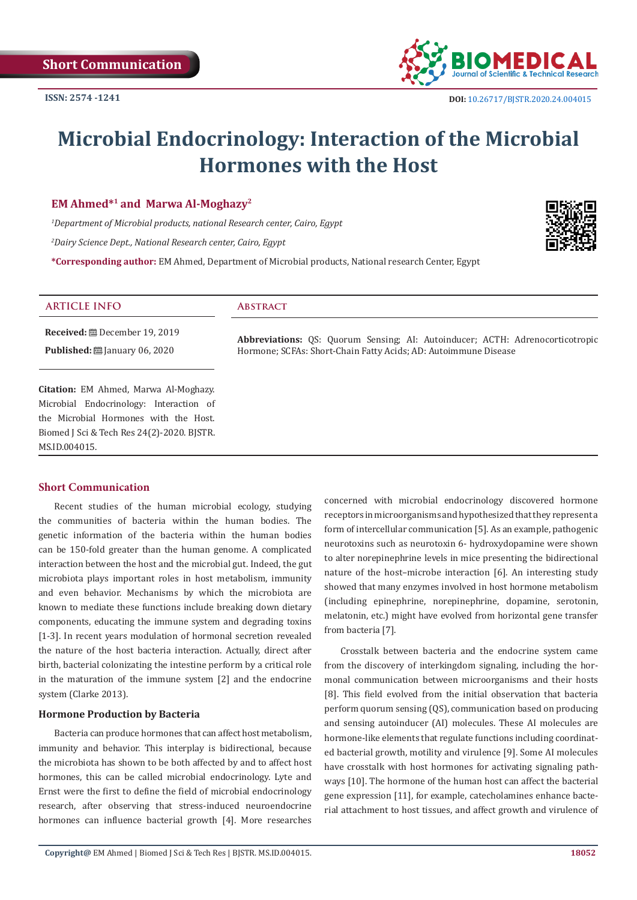

# **Microbial Endocrinology: Interaction of the Microbial Hormones with the Host**

# **EM Ahmed\*1 and Marwa Al-Moghazy2**

*1 Department of Microbial products, national Research center, Cairo, Egypt* 

*2 Dairy Science Dept., National Research center, Cairo, Egypt*

**\*Corresponding author:** EM Ahmed, Department of Microbial products, National research Center, Egypt



# **Received:** December 19, 2019 **Published:** ■ January 06, 2020 **ARTICLE INFO Abstract Abbreviations:** QS: Quorum Sensing; AI: Autoinducer; ACTH: Adrenocorticotropic Hormone; SCFAs: Short-Chain Fatty Acids; AD: Autoimmune Disease

**Citation:** EM Ahmed, Marwa Al-Moghazy. Microbial Endocrinology: Interaction of the Microbial Hormones with the Host. Biomed J Sci & Tech Res 24(2)-2020. BJSTR. MS.ID.004015.

# **Short Communication**

Recent studies of the human microbial ecology, studying the communities of bacteria within the human bodies. The genetic information of the bacteria within the human bodies can be 150-fold greater than the human genome. A complicated interaction between the host and the microbial gut. Indeed, the gut microbiota plays important roles in host metabolism, immunity and even behavior. Mechanisms by which the microbiota are known to mediate these functions include breaking down dietary components, educating the immune system and degrading toxins [1-3]. In recent years modulation of hormonal secretion revealed the nature of the host bacteria interaction. Actually, direct after birth, bacterial colonizating the intestine perform by a critical role in the maturation of the immune system [2] and the endocrine system (Clarke 2013).

#### **Hormone Production by Bacteria**

Bacteria can produce hormones that can affect host metabolism, immunity and behavior. This interplay is bidirectional, because the microbiota has shown to be both affected by and to affect host hormones, this can be called microbial endocrinology. Lyte and Ernst were the first to define the field of microbial endocrinology research, after observing that stress-induced neuroendocrine hormones can influence bacterial growth [4]. More researches

concerned with microbial endocrinology discovered hormone receptors in microorganisms and hypothesized that they represent a form of intercellular communication [5]. As an example, pathogenic neurotoxins such as neurotoxin 6- hydroxydopamine were shown to alter norepinephrine levels in mice presenting the bidirectional nature of the host–microbe interaction [6]. An interesting study showed that many enzymes involved in host hormone metabolism (including epinephrine, norepinephrine, dopamine, serotonin, melatonin, etc.) might have evolved from horizontal gene transfer from bacteria [7].

Crosstalk between bacteria and the endocrine system came from the discovery of interkingdom signaling, including the hormonal communication between microorganisms and their hosts [8]. This field evolved from the initial observation that bacteria perform quorum sensing (QS), communication based on producing and sensing autoinducer (AI) molecules. These AI molecules are hormone-like elements that regulate functions including coordinated bacterial growth, motility and virulence [9]. Some AI molecules have crosstalk with host hormones for activating signaling pathways [10]. The hormone of the human host can affect the bacterial gene expression [11], for example, catecholamines enhance bacterial attachment to host tissues, and affect growth and virulence of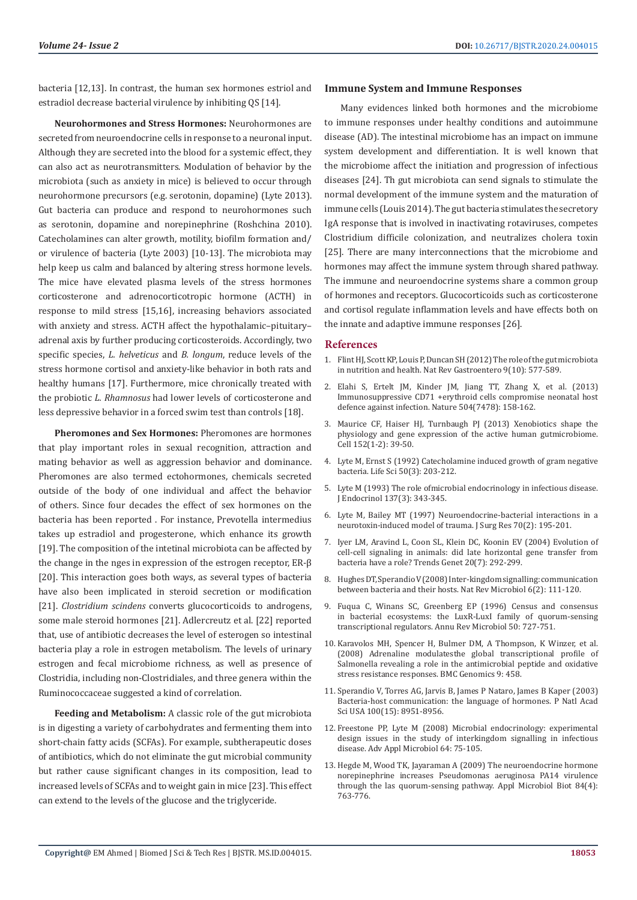bacteria [12,13]. In contrast, the human sex hormones estriol and estradiol decrease bacterial virulence by inhibiting QS [14].

**Neurohormones and Stress Hormones:** Neurohormones are secreted from neuroendocrine cells in response to a neuronal input. Although they are secreted into the blood for a systemic effect, they can also act as neurotransmitters. Modulation of behavior by the microbiota (such as anxiety in mice) is believed to occur through neurohormone precursors (e.g. serotonin, dopamine) (Lyte 2013). Gut bacteria can produce and respond to neurohormones such as serotonin, dopamine and norepinephrine (Roshchina 2010). Catecholamines can alter growth, motility, biofilm formation and/ or virulence of bacteria (Lyte 2003) [10-13]. The microbiota may help keep us calm and balanced by altering stress hormone levels. The mice have elevated plasma levels of the stress hormones corticosterone and adrenocorticotropic hormone (ACTH) in response to mild stress [15,16], increasing behaviors associated with anxiety and stress. ACTH affect the hypothalamic–pituitary– adrenal axis by further producing corticosteroids. Accordingly, two specific species, *L. helveticus* and *B. longum*, reduce levels of the stress hormone cortisol and anxiety-like behavior in both rats and healthy humans [17]. Furthermore, mice chronically treated with the probiotic *L. Rhamnosus* had lower levels of corticosterone and less depressive behavior in a forced swim test than controls [18].

**Pheromones and Sex Hormones:** Pheromones are hormones that play important roles in sexual recognition, attraction and mating behavior as well as aggression behavior and dominance. Pheromones are also termed ectohormones, chemicals secreted outside of the body of one individual and affect the behavior of others. Since four decades the effect of sex hormones on the bacteria has been reported . For instance, Prevotella intermedius takes up estradiol and progesterone, which enhance its growth [19]. The composition of the intetinal microbiota can be affected by the change in the nges in expression of the estrogen receptor, ER-β [20]. This interaction goes both ways, as several types of bacteria have also been implicated in steroid secretion or modification [21]. *Clostridium scindens* converts glucocorticoids to androgens, some male steroid hormones [21]. Adlercreutz et al. [22] reported that, use of antibiotic decreases the level of esterogen so intestinal bacteria play a role in estrogen metabolism. The levels of urinary estrogen and fecal microbiome richness, as well as presence of Clostridia, including non-Clostridiales, and three genera within the Ruminococcaceae suggested a kind of correlation.

**Feeding and Metabolism:** A classic role of the gut microbiota is in digesting a variety of carbohydrates and fermenting them into short-chain fatty acids (SCFAs). For example, subtherapeutic doses of antibiotics, which do not eliminate the gut microbial community but rather cause significant changes in its composition, lead to increased levels of SCFAs and to weight gain in mice [23]. This effect can extend to the levels of the glucose and the triglyceride.

#### **Immune System and Immune Responses**

Many evidences linked both hormones and the microbiome to immune responses under healthy conditions and autoimmune disease (AD). The intestinal microbiome has an impact on immune system development and differentiation. It is well known that the microbiome affect the initiation and progression of infectious diseases [24]. Th gut microbiota can send signals to stimulate the normal development of the immune system and the maturation of immune cells (Louis 2014). The gut bacteria stimulates the secretory IgA response that is involved in inactivating rotaviruses, competes Clostridium difficile colonization, and neutralizes cholera toxin [25]. There are many interconnections that the microbiome and hormones may affect the immune system through shared pathway. The immune and neuroendocrine systems share a common group of hormones and receptors. Glucocorticoids such as corticosterone and cortisol regulate inflammation levels and have effects both on the innate and adaptive immune responses [26].

# **References**

- 1. [Flint HJ, Scott KP, Louis P, Duncan SH \(2012\) The role of the gut microbiota](https://www.ncbi.nlm.nih.gov/pubmed/22945443) [in nutrition and health. Nat Rev Gastroentero 9\(10\): 577-589.](https://www.ncbi.nlm.nih.gov/pubmed/22945443)
- 2. [Elahi S, Ertelt JM, Kinder JM, Jiang TT, Zhang X, et al. \(2013\)](https://www.ncbi.nlm.nih.gov/pubmed/24196717) [Immunosuppressive CD71 +erythroid cells compromise neonatal host](https://www.ncbi.nlm.nih.gov/pubmed/24196717) [defence against infection. Nature 504\(7478\): 158-162.](https://www.ncbi.nlm.nih.gov/pubmed/24196717)
- 3. [Maurice CF, Haiser HJ, Turnbaugh PJ \(2013\) Xenobiotics shape the](https://www.ncbi.nlm.nih.gov/pubmed/23332745) [physiology and gene expression of the active human gutmicrobiome.](https://www.ncbi.nlm.nih.gov/pubmed/23332745) [Cell 152\(1-2\): 39-50.](https://www.ncbi.nlm.nih.gov/pubmed/23332745)
- 4. [Lyte M, Ernst S \(1992\) Catecholamine induced growth of gram negative](https://www.ncbi.nlm.nih.gov/pubmed/1731173) [bacteria. Life Sci 50\(3\): 203-212.](https://www.ncbi.nlm.nih.gov/pubmed/1731173)
- 5. [Lyte M \(1993\) The role ofmicrobial endocrinology in infectious disease.](https://www.ncbi.nlm.nih.gov/pubmed/8371072) [J Endocrinol 137\(3\): 343-345.](https://www.ncbi.nlm.nih.gov/pubmed/8371072)
- 6. [Lyte M, Bailey MT \(1997\) Neuroendocrine-bacterial interactions in a](https://www.ncbi.nlm.nih.gov/pubmed/9245571) [neurotoxin-induced model of trauma. J Surg Res 70\(2\): 195-201.](https://www.ncbi.nlm.nih.gov/pubmed/9245571)
- 7. [Iyer LM, Aravind L, Coon SL, Klein DC, Koonin EV \(2004\) Evolution of](https://www.ncbi.nlm.nih.gov/pubmed/15219393) [cell-cell signaling in animals: did late horizontal gene transfer from](https://www.ncbi.nlm.nih.gov/pubmed/15219393) [bacteria have a role? Trends Genet 20\(7\): 292-299.](https://www.ncbi.nlm.nih.gov/pubmed/15219393)
- 8. [Hughes DT, Sperandio V \(2008\) Inter-kingdom signalling: communication](https://www.ncbi.nlm.nih.gov/pubmed/18197168) [between bacteria and their hosts. Nat Rev Microbiol 6\(2\): 111-120.](https://www.ncbi.nlm.nih.gov/pubmed/18197168)
- 9. [Fuqua C, Winans SC, Greenberg EP \(1996\) Census and consensus](https://www.ncbi.nlm.nih.gov/pubmed/8905097) [in bacterial ecosystems: the LuxR-LuxI family of quorum-sensing](https://www.ncbi.nlm.nih.gov/pubmed/8905097) [transcriptional regulators. Annu Rev Microbiol 50: 727-751.](https://www.ncbi.nlm.nih.gov/pubmed/8905097)
- 10. [Karavolos MH, Spencer H, Bulmer DM, A Thompson, K Winzer, et al.](https://www.ncbi.nlm.nih.gov/pmc/articles/PMC2576261/) [\(2008\) Adrenaline modulatesthe global transcriptional profile of](https://www.ncbi.nlm.nih.gov/pmc/articles/PMC2576261/) [Salmonella revealing a role in the antimicrobial peptide and oxidative](https://www.ncbi.nlm.nih.gov/pmc/articles/PMC2576261/) [stress resistance responses. BMC Genomics 9: 458.](https://www.ncbi.nlm.nih.gov/pmc/articles/PMC2576261/)
- 11. [Sperandio V, Torres AG, Jarvis B, James P Nataro, James B Kaper \(2003\)](https://www.pnas.org/content/100/15/8951) [Bacteria-host communication: the language of hormones. P Natl Acad](https://www.pnas.org/content/100/15/8951) [Sci USA 100\(15\): 8951-8956.](https://www.pnas.org/content/100/15/8951)
- 12. [Freestone PP, Lyte M \(2008\) Microbial endocrinology: experimental](https://www.ncbi.nlm.nih.gov/pubmed/18485281) [design issues in the study of interkingdom signalling in infectious](https://www.ncbi.nlm.nih.gov/pubmed/18485281) [disease. Adv Appl Microbiol 64: 75-105.](https://www.ncbi.nlm.nih.gov/pubmed/18485281)
- 13. [Hegde M, Wood TK, Jayaraman A \(2009\) The neuroendocrine hormone](https://www.ncbi.nlm.nih.gov/pubmed/19517106) [norepinephrine increases Pseudomonas aeruginosa PA14 virulence](https://www.ncbi.nlm.nih.gov/pubmed/19517106) [through the las quorum-sensing pathway. Appl Microbiol Biot 84\(4\):](https://www.ncbi.nlm.nih.gov/pubmed/19517106) [763-776.](https://www.ncbi.nlm.nih.gov/pubmed/19517106)